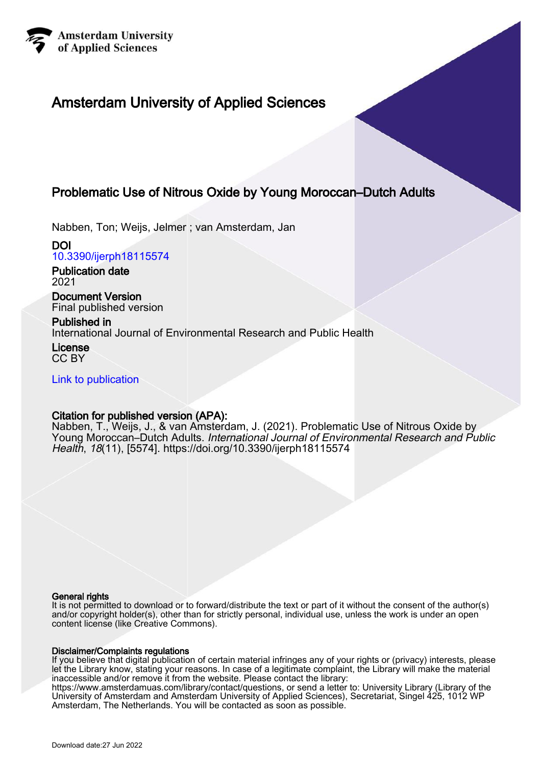

# Amsterdam University of Applied Sciences

## Problematic Use of Nitrous Oxide by Young Moroccan–Dutch Adults

Nabben, Ton; Weijs, Jelmer ; van Amsterdam, Jan

DOI [10.3390/ijerph18115574](https://doi.org/10.3390/ijerph18115574)

Publication date 2021

Document Version Final published version

## Published in

International Journal of Environmental Research and Public Health

License CC BY

[Link to publication](https://research.hva.nl/en/publications/b9480a13-c1f1-4e21-ada6-8d11c859991c)

## Citation for published version (APA):

Nabben, T., Weijs, J., & van Amsterdam, J. (2021). Problematic Use of Nitrous Oxide by Young Moroccan–Dutch Adults. International Journal of Environmental Research and Public Health, 18(11), [5574]. <https://doi.org/10.3390/ijerph18115574>

## General rights

It is not permitted to download or to forward/distribute the text or part of it without the consent of the author(s) and/or copyright holder(s), other than for strictly personal, individual use, unless the work is under an open content license (like Creative Commons).

## Disclaimer/Complaints regulations

If you believe that digital publication of certain material infringes any of your rights or (privacy) interests, please let the Library know, stating your reasons. In case of a legitimate complaint, the Library will make the material inaccessible and/or remove it from the website. Please contact the library:

https://www.amsterdamuas.com/library/contact/questions, or send a letter to: University Library (Library of the University of Amsterdam and Amsterdam University of Applied Sciences), Secretariat, Singel 425, 1012 WP Amsterdam, The Netherlands. You will be contacted as soon as possible.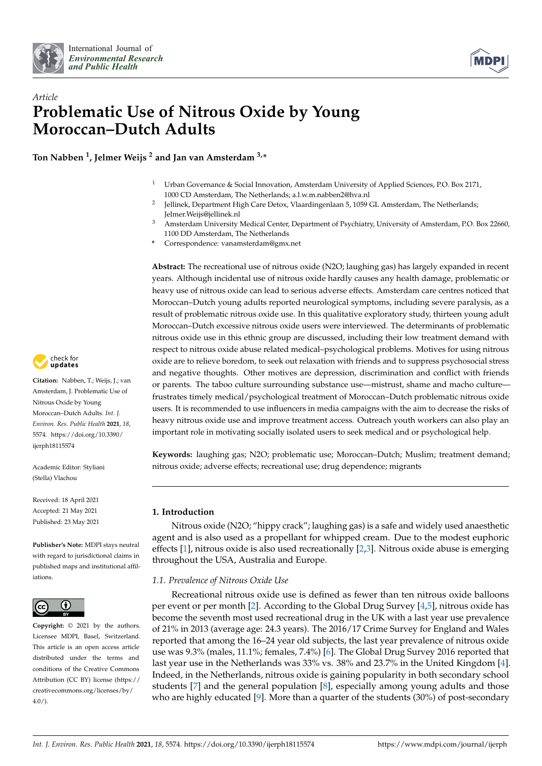



# *Article* **Problematic Use of Nitrous Oxide by Young Moroccan–Dutch Adults**

**Ton Nabben <sup>1</sup> , Jelmer Weijs <sup>2</sup> and Jan van Amsterdam 3,\***

- <sup>1</sup> Urban Governance & Social Innovation, Amsterdam University of Applied Sciences, P.O. Box 2171, 1000 CD Amsterdam, The Netherlands; a.l.w.m.nabben2@hva.nl
- 2 Jellinek, Department High Care Detox, Vlaardingenlaan 5, 1059 GL Amsterdam, The Netherlands; Jelmer.Weijs@jellinek.nl
- <sup>3</sup> Amsterdam University Medical Center, Department of Psychiatry, University of Amsterdam, P.O. Box 22660, 1100 DD Amsterdam, The Netherlands
- **\*** Correspondence: vanamsterdam@gmx.net

**Abstract:** The recreational use of nitrous oxide (N2O; laughing gas) has largely expanded in recent years. Although incidental use of nitrous oxide hardly causes any health damage, problematic or heavy use of nitrous oxide can lead to serious adverse effects. Amsterdam care centres noticed that Moroccan–Dutch young adults reported neurological symptoms, including severe paralysis, as a result of problematic nitrous oxide use. In this qualitative exploratory study, thirteen young adult Moroccan–Dutch excessive nitrous oxide users were interviewed. The determinants of problematic nitrous oxide use in this ethnic group are discussed, including their low treatment demand with respect to nitrous oxide abuse related medical–psychological problems. Motives for using nitrous oxide are to relieve boredom, to seek out relaxation with friends and to suppress psychosocial stress and negative thoughts. Other motives are depression, discrimination and conflict with friends or parents. The taboo culture surrounding substance use—mistrust, shame and macho culture frustrates timely medical/psychological treatment of Moroccan–Dutch problematic nitrous oxide users. It is recommended to use influencers in media campaigns with the aim to decrease the risks of heavy nitrous oxide use and improve treatment access. Outreach youth workers can also play an important role in motivating socially isolated users to seek medical and or psychological help.

**Keywords:** laughing gas; N2O; problematic use; Moroccan–Dutch; Muslim; treatment demand; nitrous oxide; adverse effects; recreational use; drug dependence; migrants

## **1. Introduction**

Nitrous oxide (N2O; "hippy crack"; laughing gas) is a safe and widely used anaesthetic agent and is also used as a propellant for whipped cream. Due to the modest euphoric effects [\[1\]](#page-15-0), nitrous oxide is also used recreationally [\[2](#page-15-1)[,3\]](#page-15-2). Nitrous oxide abuse is emerging throughout the USA, Australia and Europe.

## *1.1. Prevalence of Nitrous Oxide Use*

Recreational nitrous oxide use is defined as fewer than ten nitrous oxide balloons per event or per month [\[2\]](#page-15-1). According to the Global Drug Survey [\[4](#page-15-3)[,5\]](#page-15-4), nitrous oxide has become the seventh most used recreational drug in the UK with a last year use prevalence of 21% in 2013 (average age: 24.3 years). The 2016/17 Crime Survey for England and Wales reported that among the 16–24 year old subjects, the last year prevalence of nitrous oxide use was 9.3% (males, 11.1%; females, 7.4%) [\[6\]](#page-16-0). The Global Drug Survey 2016 reported that last year use in the Netherlands was 33% vs. 38% and 23.7% in the United Kingdom [\[4\]](#page-15-3). Indeed, in the Netherlands, nitrous oxide is gaining popularity in both secondary school students [\[7\]](#page-16-1) and the general population [\[8\]](#page-16-2), especially among young adults and those who are highly educated [\[9\]](#page-16-3). More than a quarter of the students (30%) of post-secondary



**Citation:** Nabben, T.; Weijs, J.; van Amsterdam, J. Problematic Use of Nitrous Oxide by Young Moroccan–Dutch Adults. *Int. J. Environ. Res. Public Health* **2021**, *18*, 5574. [https://doi.org/10.3390/](https://doi.org/10.3390/ijerph18115574) [ijerph18115574](https://doi.org/10.3390/ijerph18115574)

Academic Editor: Styliani (Stella) Vlachou

Received: 18 April 2021 Accepted: 21 May 2021 Published: 23 May 2021

**Publisher's Note:** MDPI stays neutral with regard to jurisdictional claims in published maps and institutional affiliations.



**Copyright:** © 2021 by the authors. Licensee MDPI, Basel, Switzerland. This article is an open access article distributed under the terms and conditions of the Creative Commons Attribution (CC BY) license (https:/[/](https://creativecommons.org/licenses/by/4.0/) [creativecommons.org/licenses/by/](https://creativecommons.org/licenses/by/4.0/)  $4.0/$ ).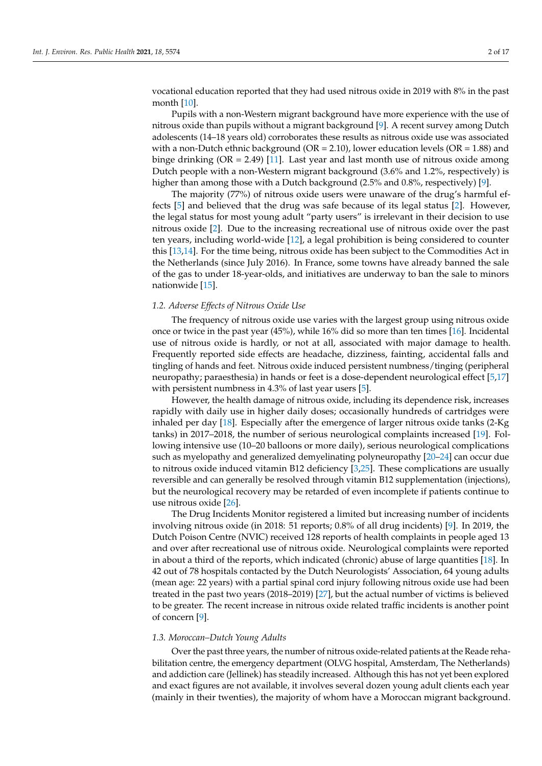vocational education reported that they had used nitrous oxide in 2019 with 8% in the past month [\[10\]](#page-16-4).

Pupils with a non-Western migrant background have more experience with the use of nitrous oxide than pupils without a migrant background [\[9\]](#page-16-3). A recent survey among Dutch adolescents (14–18 years old) corroborates these results as nitrous oxide use was associated with a non-Dutch ethnic background ( $OR = 2.10$ ), lower education levels ( $OR = 1.88$ ) and binge drinking  $(OR = 2.49)$  [\[11\]](#page-16-5). Last year and last month use of nitrous oxide among Dutch people with a non-Western migrant background (3.6% and 1.2%, respectively) is higher than among those with a Dutch background (2.5% and 0.8%, respectively) [\[9\]](#page-16-3).

The majority (77%) of nitrous oxide users were unaware of the drug's harmful effects [\[5\]](#page-15-4) and believed that the drug was safe because of its legal status [\[2\]](#page-15-1). However, the legal status for most young adult "party users" is irrelevant in their decision to use nitrous oxide [\[2\]](#page-15-1). Due to the increasing recreational use of nitrous oxide over the past ten years, including world-wide [\[12\]](#page-16-6), a legal prohibition is being considered to counter this [\[13](#page-16-7)[,14\]](#page-16-8). For the time being, nitrous oxide has been subject to the Commodities Act in the Netherlands (since July 2016). In France, some towns have already banned the sale of the gas to under 18-year-olds, and initiatives are underway to ban the sale to minors nationwide [\[15\]](#page-16-9).

### *1.2. Adverse Effects of Nitrous Oxide Use*

The frequency of nitrous oxide use varies with the largest group using nitrous oxide once or twice in the past year (45%), while 16% did so more than ten times [\[16\]](#page-16-10). Incidental use of nitrous oxide is hardly, or not at all, associated with major damage to health. Frequently reported side effects are headache, dizziness, fainting, accidental falls and tingling of hands and feet. Nitrous oxide induced persistent numbness/tinging (peripheral neuropathy; paraesthesia) in hands or feet is a dose-dependent neurological effect [\[5](#page-15-4)[,17\]](#page-16-11) with persistent numbness in 4.3% of last year users [\[5\]](#page-15-4).

However, the health damage of nitrous oxide, including its dependence risk, increases rapidly with daily use in higher daily doses; occasionally hundreds of cartridges were inhaled per day [\[18\]](#page-16-12). Especially after the emergence of larger nitrous oxide tanks (2-Kg tanks) in 2017–2018, the number of serious neurological complaints increased [\[19\]](#page-16-13). Following intensive use (10–20 balloons or more daily), serious neurological complications such as myelopathy and generalized demyelinating polyneuropathy [\[20](#page-16-14)[–24\]](#page-16-15) can occur due to nitrous oxide induced vitamin B12 deficiency [\[3](#page-15-2)[,25\]](#page-16-16). These complications are usually reversible and can generally be resolved through vitamin B12 supplementation (injections), but the neurological recovery may be retarded of even incomplete if patients continue to use nitrous oxide [\[26\]](#page-16-17).

The Drug Incidents Monitor registered a limited but increasing number of incidents involving nitrous oxide (in 2018: 51 reports; 0.8% of all drug incidents) [\[9\]](#page-16-3). In 2019, the Dutch Poison Centre (NVIC) received 128 reports of health complaints in people aged 13 and over after recreational use of nitrous oxide. Neurological complaints were reported in about a third of the reports, which indicated (chronic) abuse of large quantities [\[18\]](#page-16-12). In 42 out of 78 hospitals contacted by the Dutch Neurologists' Association, 64 young adults (mean age: 22 years) with a partial spinal cord injury following nitrous oxide use had been treated in the past two years (2018–2019) [\[27\]](#page-16-18), but the actual number of victims is believed to be greater. The recent increase in nitrous oxide related traffic incidents is another point of concern [\[9\]](#page-16-3).

#### *1.3. Moroccan–Dutch Young Adults*

Over the past three years, the number of nitrous oxide-related patients at the Reade rehabilitation centre, the emergency department (OLVG hospital, Amsterdam, The Netherlands) and addiction care (Jellinek) has steadily increased. Although this has not yet been explored and exact figures are not available, it involves several dozen young adult clients each year (mainly in their twenties), the majority of whom have a Moroccan migrant background.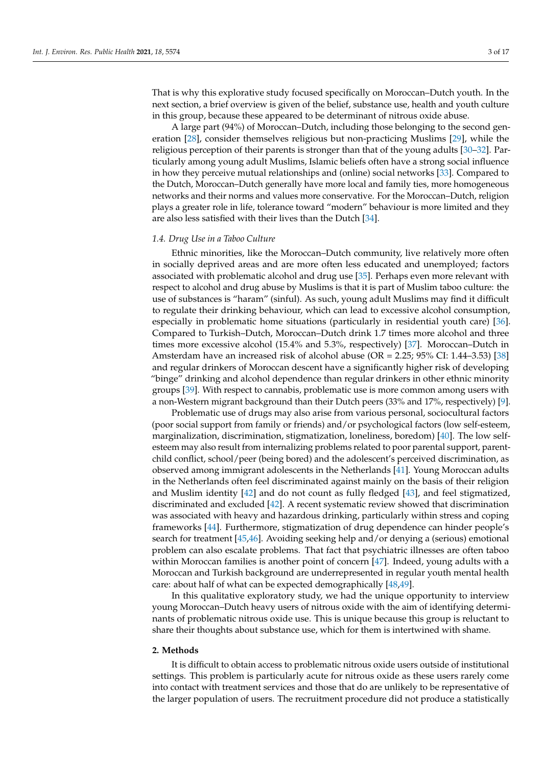That is why this explorative study focused specifically on Moroccan–Dutch youth. In the next section, a brief overview is given of the belief, substance use, health and youth culture in this group, because these appeared to be determinant of nitrous oxide abuse.

A large part (94%) of Moroccan–Dutch, including those belonging to the second generation [\[28\]](#page-16-19), consider themselves religious but non-practicing Muslims [\[29\]](#page-16-20), while the religious perception of their parents is stronger than that of the young adults [\[30](#page-16-21)[–32\]](#page-16-22). Particularly among young adult Muslims, Islamic beliefs often have a strong social influence in how they perceive mutual relationships and (online) social networks [\[33\]](#page-17-0). Compared to the Dutch, Moroccan–Dutch generally have more local and family ties, more homogeneous networks and their norms and values more conservative. For the Moroccan–Dutch, religion plays a greater role in life, tolerance toward "modern" behaviour is more limited and they are also less satisfied with their lives than the Dutch [\[34\]](#page-17-1).

#### *1.4. Drug Use in a Taboo Culture*

Ethnic minorities, like the Moroccan–Dutch community, live relatively more often in socially deprived areas and are more often less educated and unemployed; factors associated with problematic alcohol and drug use [\[35\]](#page-17-2). Perhaps even more relevant with respect to alcohol and drug abuse by Muslims is that it is part of Muslim taboo culture: the use of substances is "haram" (sinful). As such, young adult Muslims may find it difficult to regulate their drinking behaviour, which can lead to excessive alcohol consumption, especially in problematic home situations (particularly in residential youth care) [\[36\]](#page-17-3). Compared to Turkish–Dutch, Moroccan–Dutch drink 1.7 times more alcohol and three times more excessive alcohol (15.4% and 5.3%, respectively) [\[37\]](#page-17-4). Moroccan–Dutch in Amsterdam have an increased risk of alcohol abuse (OR = 2.25; 95% CI: 1.44–3.53) [\[38\]](#page-17-5) and regular drinkers of Moroccan descent have a significantly higher risk of developing "binge" drinking and alcohol dependence than regular drinkers in other ethnic minority groups [\[39\]](#page-17-6). With respect to cannabis, problematic use is more common among users with a non-Western migrant background than their Dutch peers (33% and 17%, respectively) [\[9\]](#page-16-3).

Problematic use of drugs may also arise from various personal, sociocultural factors (poor social support from family or friends) and/or psychological factors (low self-esteem, marginalization, discrimination, stigmatization, loneliness, boredom) [\[40\]](#page-17-7). The low selfesteem may also result from internalizing problems related to poor parental support, parentchild conflict, school/peer (being bored) and the adolescent's perceived discrimination, as observed among immigrant adolescents in the Netherlands [\[41\]](#page-17-8). Young Moroccan adults in the Netherlands often feel discriminated against mainly on the basis of their religion and Muslim identity [\[42\]](#page-17-9) and do not count as fully fledged [\[43\]](#page-17-10), and feel stigmatized, discriminated and excluded [\[42\]](#page-17-9). A recent systematic review showed that discrimination was associated with heavy and hazardous drinking, particularly within stress and coping frameworks [\[44\]](#page-17-11). Furthermore, stigmatization of drug dependence can hinder people's search for treatment [\[45,](#page-17-12)[46\]](#page-17-13). Avoiding seeking help and/or denying a (serious) emotional problem can also escalate problems. That fact that psychiatric illnesses are often taboo within Moroccan families is another point of concern [\[47\]](#page-17-14). Indeed, young adults with a Moroccan and Turkish background are underrepresented in regular youth mental health care: about half of what can be expected demographically [\[48](#page-17-15)[,49\]](#page-17-16).

In this qualitative exploratory study, we had the unique opportunity to interview young Moroccan–Dutch heavy users of nitrous oxide with the aim of identifying determinants of problematic nitrous oxide use. This is unique because this group is reluctant to share their thoughts about substance use, which for them is intertwined with shame.

#### **2. Methods**

It is difficult to obtain access to problematic nitrous oxide users outside of institutional settings. This problem is particularly acute for nitrous oxide as these users rarely come into contact with treatment services and those that do are unlikely to be representative of the larger population of users. The recruitment procedure did not produce a statistically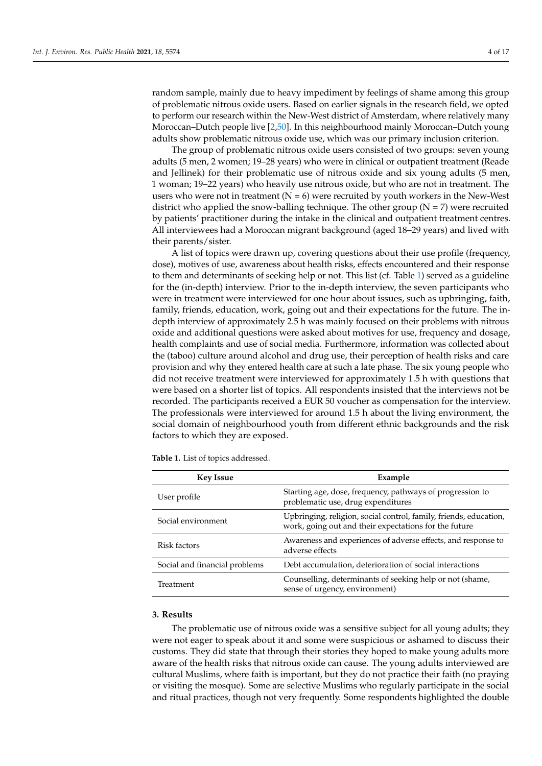random sample, mainly due to heavy impediment by feelings of shame among this group of problematic nitrous oxide users. Based on earlier signals in the research field, we opted to perform our research within the New-West district of Amsterdam, where relatively many Moroccan–Dutch people live [\[2,](#page-15-1)[50\]](#page-17-17). In this neighbourhood mainly Moroccan–Dutch young adults show problematic nitrous oxide use, which was our primary inclusion criterion.

The group of problematic nitrous oxide users consisted of two groups: seven young adults (5 men, 2 women; 19–28 years) who were in clinical or outpatient treatment (Reade and Jellinek) for their problematic use of nitrous oxide and six young adults (5 men, 1 woman; 19–22 years) who heavily use nitrous oxide, but who are not in treatment. The users who were not in treatment  $(N = 6)$  were recruited by youth workers in the New-West district who applied the snow-balling technique. The other group  $(N = 7)$  were recruited by patients' practitioner during the intake in the clinical and outpatient treatment centres. All interviewees had a Moroccan migrant background (aged 18–29 years) and lived with their parents/sister.

A list of topics were drawn up, covering questions about their use profile (frequency, dose), motives of use, awareness about health risks, effects encountered and their response to them and determinants of seeking help or not. This list (cf. Table [1\)](#page-4-0) served as a guideline for the (in-depth) interview. Prior to the in-depth interview, the seven participants who were in treatment were interviewed for one hour about issues, such as upbringing, faith, family, friends, education, work, going out and their expectations for the future. The indepth interview of approximately 2.5 h was mainly focused on their problems with nitrous oxide and additional questions were asked about motives for use, frequency and dosage, health complaints and use of social media. Furthermore, information was collected about the (taboo) culture around alcohol and drug use, their perception of health risks and care provision and why they entered health care at such a late phase. The six young people who did not receive treatment were interviewed for approximately 1.5 h with questions that were based on a shorter list of topics. All respondents insisted that the interviews not be recorded. The participants received a EUR 50 voucher as compensation for the interview. The professionals were interviewed for around 1.5 h about the living environment, the social domain of neighbourhood youth from different ethnic backgrounds and the risk factors to which they are exposed.

| <b>Key Issue</b>              | Example                                                                                                                    |
|-------------------------------|----------------------------------------------------------------------------------------------------------------------------|
| User profile                  | Starting age, dose, frequency, pathways of progression to<br>problematic use, drug expenditures                            |
| Social environment            | Upbringing, religion, social control, family, friends, education,<br>work, going out and their expectations for the future |
| Risk factors                  | Awareness and experiences of adverse effects, and response to<br>adverse effects                                           |
| Social and financial problems | Debt accumulation, deterioration of social interactions                                                                    |
| Treatment                     | Counselling, determinants of seeking help or not (shame,<br>sense of urgency, environment)                                 |

<span id="page-4-0"></span>**Table 1.** List of topics addressed.

#### **3. Results**

The problematic use of nitrous oxide was a sensitive subject for all young adults; they were not eager to speak about it and some were suspicious or ashamed to discuss their customs. They did state that through their stories they hoped to make young adults more aware of the health risks that nitrous oxide can cause. The young adults interviewed are cultural Muslims, where faith is important, but they do not practice their faith (no praying or visiting the mosque). Some are selective Muslims who regularly participate in the social and ritual practices, though not very frequently. Some respondents highlighted the double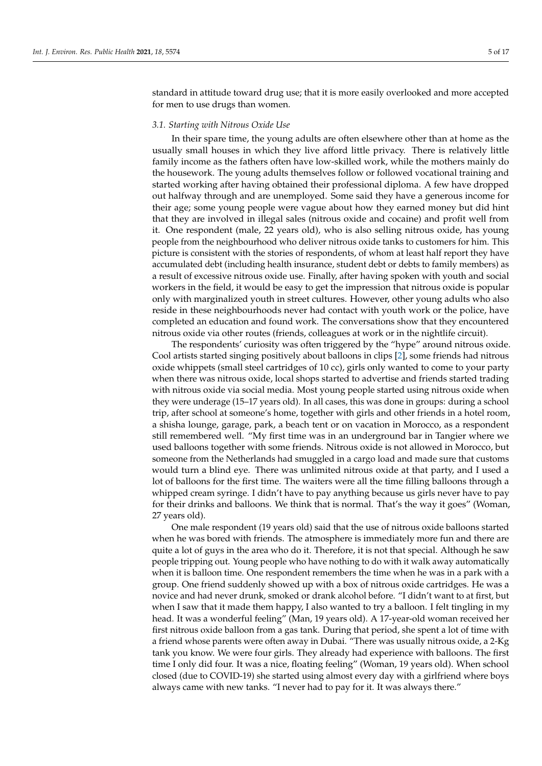standard in attitude toward drug use; that it is more easily overlooked and more accepted for men to use drugs than women.

#### *3.1. Starting with Nitrous Oxide Use*

In their spare time, the young adults are often elsewhere other than at home as the usually small houses in which they live afford little privacy. There is relatively little family income as the fathers often have low-skilled work, while the mothers mainly do the housework. The young adults themselves follow or followed vocational training and started working after having obtained their professional diploma. A few have dropped out halfway through and are unemployed. Some said they have a generous income for their age; some young people were vague about how they earned money but did hint that they are involved in illegal sales (nitrous oxide and cocaine) and profit well from it. One respondent (male, 22 years old), who is also selling nitrous oxide, has young people from the neighbourhood who deliver nitrous oxide tanks to customers for him. This picture is consistent with the stories of respondents, of whom at least half report they have accumulated debt (including health insurance, student debt or debts to family members) as a result of excessive nitrous oxide use. Finally, after having spoken with youth and social workers in the field, it would be easy to get the impression that nitrous oxide is popular only with marginalized youth in street cultures. However, other young adults who also reside in these neighbourhoods never had contact with youth work or the police, have completed an education and found work. The conversations show that they encountered nitrous oxide via other routes (friends, colleagues at work or in the nightlife circuit).

The respondents' curiosity was often triggered by the "hype" around nitrous oxide. Cool artists started singing positively about balloons in clips [\[2\]](#page-15-1), some friends had nitrous oxide whippets (small steel cartridges of 10 cc), girls only wanted to come to your party when there was nitrous oxide, local shops started to advertise and friends started trading with nitrous oxide via social media. Most young people started using nitrous oxide when they were underage (15–17 years old). In all cases, this was done in groups: during a school trip, after school at someone's home, together with girls and other friends in a hotel room, a shisha lounge, garage, park, a beach tent or on vacation in Morocco, as a respondent still remembered well. "My first time was in an underground bar in Tangier where we used balloons together with some friends. Nitrous oxide is not allowed in Morocco, but someone from the Netherlands had smuggled in a cargo load and made sure that customs would turn a blind eye. There was unlimited nitrous oxide at that party, and I used a lot of balloons for the first time. The waiters were all the time filling balloons through a whipped cream syringe. I didn't have to pay anything because us girls never have to pay for their drinks and balloons. We think that is normal. That's the way it goes" (Woman, 27 years old).

One male respondent (19 years old) said that the use of nitrous oxide balloons started when he was bored with friends. The atmosphere is immediately more fun and there are quite a lot of guys in the area who do it. Therefore, it is not that special. Although he saw people tripping out. Young people who have nothing to do with it walk away automatically when it is balloon time. One respondent remembers the time when he was in a park with a group. One friend suddenly showed up with a box of nitrous oxide cartridges. He was a novice and had never drunk, smoked or drank alcohol before. "I didn't want to at first, but when I saw that it made them happy, I also wanted to try a balloon. I felt tingling in my head. It was a wonderful feeling" (Man, 19 years old). A 17-year-old woman received her first nitrous oxide balloon from a gas tank. During that period, she spent a lot of time with a friend whose parents were often away in Dubai. "There was usually nitrous oxide, a 2-Kg tank you know. We were four girls. They already had experience with balloons. The first time I only did four. It was a nice, floating feeling" (Woman, 19 years old). When school closed (due to COVID-19) she started using almost every day with a girlfriend where boys always came with new tanks. "I never had to pay for it. It was always there."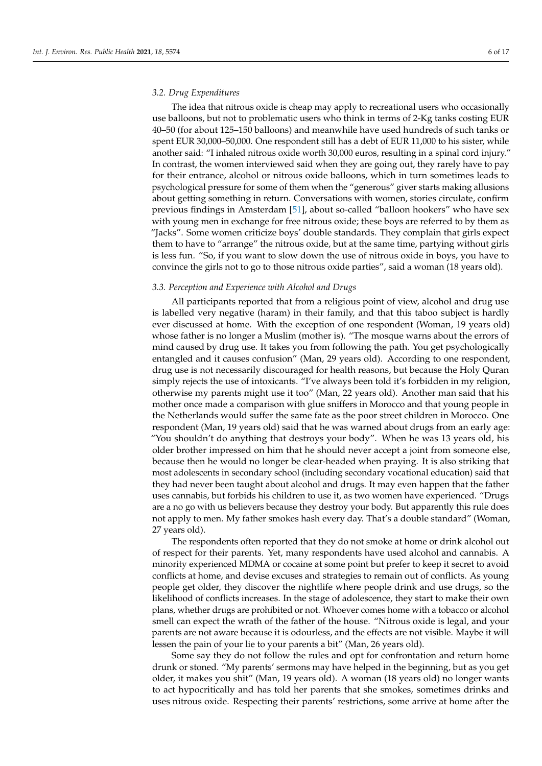#### *3.2. Drug Expenditures*

The idea that nitrous oxide is cheap may apply to recreational users who occasionally use balloons, but not to problematic users who think in terms of 2-Kg tanks costing EUR 40–50 (for about 125–150 balloons) and meanwhile have used hundreds of such tanks or spent EUR 30,000–50,000. One respondent still has a debt of EUR 11,000 to his sister, while another said: "I inhaled nitrous oxide worth 30,000 euros, resulting in a spinal cord injury." In contrast, the women interviewed said when they are going out, they rarely have to pay for their entrance, alcohol or nitrous oxide balloons, which in turn sometimes leads to psychological pressure for some of them when the "generous" giver starts making allusions about getting something in return. Conversations with women, stories circulate, confirm previous findings in Amsterdam [\[51\]](#page-17-18), about so-called "balloon hookers" who have sex with young men in exchange for free nitrous oxide; these boys are referred to by them as "Jacks". Some women criticize boys' double standards. They complain that girls expect them to have to "arrange" the nitrous oxide, but at the same time, partying without girls is less fun. "So, if you want to slow down the use of nitrous oxide in boys, you have to convince the girls not to go to those nitrous oxide parties", said a woman (18 years old).

#### *3.3. Perception and Experience with Alcohol and Drugs*

All participants reported that from a religious point of view, alcohol and drug use is labelled very negative (haram) in their family, and that this taboo subject is hardly ever discussed at home. With the exception of one respondent (Woman, 19 years old) whose father is no longer a Muslim (mother is). "The mosque warns about the errors of mind caused by drug use. It takes you from following the path. You get psychologically entangled and it causes confusion" (Man, 29 years old). According to one respondent, drug use is not necessarily discouraged for health reasons, but because the Holy Quran simply rejects the use of intoxicants. "I've always been told it's forbidden in my religion, otherwise my parents might use it too" (Man, 22 years old). Another man said that his mother once made a comparison with glue sniffers in Morocco and that young people in the Netherlands would suffer the same fate as the poor street children in Morocco. One respondent (Man, 19 years old) said that he was warned about drugs from an early age: "You shouldn't do anything that destroys your body". When he was 13 years old, his older brother impressed on him that he should never accept a joint from someone else, because then he would no longer be clear-headed when praying. It is also striking that most adolescents in secondary school (including secondary vocational education) said that they had never been taught about alcohol and drugs. It may even happen that the father uses cannabis, but forbids his children to use it, as two women have experienced. "Drugs are a no go with us believers because they destroy your body. But apparently this rule does not apply to men. My father smokes hash every day. That's a double standard" (Woman, 27 years old).

The respondents often reported that they do not smoke at home or drink alcohol out of respect for their parents. Yet, many respondents have used alcohol and cannabis. A minority experienced MDMA or cocaine at some point but prefer to keep it secret to avoid conflicts at home, and devise excuses and strategies to remain out of conflicts. As young people get older, they discover the nightlife where people drink and use drugs, so the likelihood of conflicts increases. In the stage of adolescence, they start to make their own plans, whether drugs are prohibited or not. Whoever comes home with a tobacco or alcohol smell can expect the wrath of the father of the house. "Nitrous oxide is legal, and your parents are not aware because it is odourless, and the effects are not visible. Maybe it will lessen the pain of your lie to your parents a bit" (Man, 26 years old).

Some say they do not follow the rules and opt for confrontation and return home drunk or stoned. "My parents' sermons may have helped in the beginning, but as you get older, it makes you shit" (Man, 19 years old). A woman (18 years old) no longer wants to act hypocritically and has told her parents that she smokes, sometimes drinks and uses nitrous oxide. Respecting their parents' restrictions, some arrive at home after the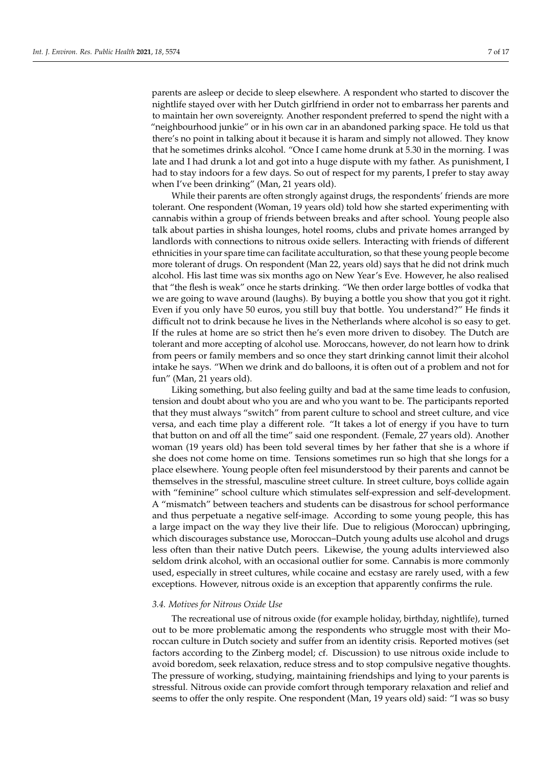parents are asleep or decide to sleep elsewhere. A respondent who started to discover the nightlife stayed over with her Dutch girlfriend in order not to embarrass her parents and to maintain her own sovereignty. Another respondent preferred to spend the night with a "neighbourhood junkie" or in his own car in an abandoned parking space. He told us that there's no point in talking about it because it is haram and simply not allowed. They know that he sometimes drinks alcohol. "Once I came home drunk at 5.30 in the morning. I was late and I had drunk a lot and got into a huge dispute with my father. As punishment, I had to stay indoors for a few days. So out of respect for my parents, I prefer to stay away when I've been drinking" (Man, 21 years old).

While their parents are often strongly against drugs, the respondents' friends are more tolerant. One respondent (Woman, 19 years old) told how she started experimenting with cannabis within a group of friends between breaks and after school. Young people also talk about parties in shisha lounges, hotel rooms, clubs and private homes arranged by landlords with connections to nitrous oxide sellers. Interacting with friends of different ethnicities in your spare time can facilitate acculturation, so that these young people become more tolerant of drugs. On respondent (Man 22, years old) says that he did not drink much alcohol. His last time was six months ago on New Year's Eve. However, he also realised that "the flesh is weak" once he starts drinking. "We then order large bottles of vodka that we are going to wave around (laughs). By buying a bottle you show that you got it right. Even if you only have 50 euros, you still buy that bottle. You understand?" He finds it difficult not to drink because he lives in the Netherlands where alcohol is so easy to get. If the rules at home are so strict then he's even more driven to disobey. The Dutch are tolerant and more accepting of alcohol use. Moroccans, however, do not learn how to drink from peers or family members and so once they start drinking cannot limit their alcohol intake he says. "When we drink and do balloons, it is often out of a problem and not for fun" (Man, 21 years old).

Liking something, but also feeling guilty and bad at the same time leads to confusion, tension and doubt about who you are and who you want to be. The participants reported that they must always "switch" from parent culture to school and street culture, and vice versa, and each time play a different role. "It takes a lot of energy if you have to turn that button on and off all the time" said one respondent. (Female, 27 years old). Another woman (19 years old) has been told several times by her father that she is a whore if she does not come home on time. Tensions sometimes run so high that she longs for a place elsewhere. Young people often feel misunderstood by their parents and cannot be themselves in the stressful, masculine street culture. In street culture, boys collide again with "feminine" school culture which stimulates self-expression and self-development. A "mismatch" between teachers and students can be disastrous for school performance and thus perpetuate a negative self-image. According to some young people, this has a large impact on the way they live their life. Due to religious (Moroccan) upbringing, which discourages substance use, Moroccan–Dutch young adults use alcohol and drugs less often than their native Dutch peers. Likewise, the young adults interviewed also seldom drink alcohol, with an occasional outlier for some. Cannabis is more commonly used, especially in street cultures, while cocaine and ecstasy are rarely used, with a few exceptions. However, nitrous oxide is an exception that apparently confirms the rule.

#### *3.4. Motives for Nitrous Oxide Use*

The recreational use of nitrous oxide (for example holiday, birthday, nightlife), turned out to be more problematic among the respondents who struggle most with their Moroccan culture in Dutch society and suffer from an identity crisis. Reported motives (set factors according to the Zinberg model; cf. Discussion) to use nitrous oxide include to avoid boredom, seek relaxation, reduce stress and to stop compulsive negative thoughts. The pressure of working, studying, maintaining friendships and lying to your parents is stressful. Nitrous oxide can provide comfort through temporary relaxation and relief and seems to offer the only respite. One respondent (Man, 19 years old) said: "I was so busy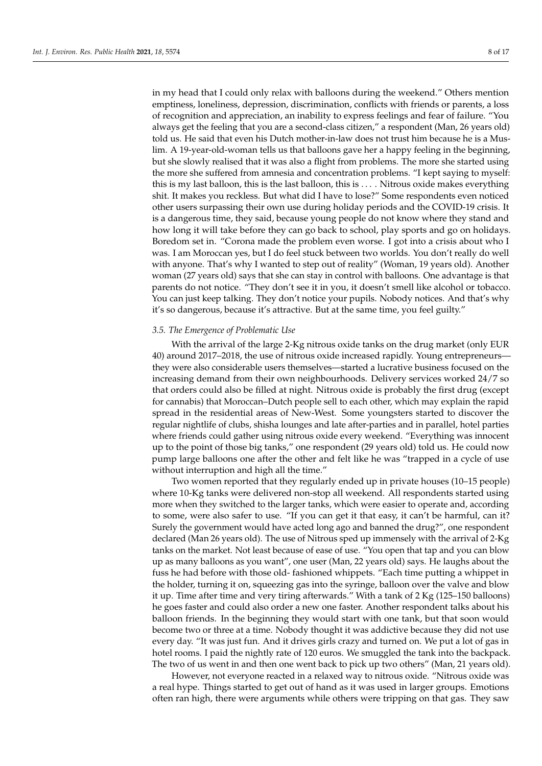in my head that I could only relax with balloons during the weekend." Others mention emptiness, loneliness, depression, discrimination, conflicts with friends or parents, a loss of recognition and appreciation, an inability to express feelings and fear of failure. "You always get the feeling that you are a second-class citizen," a respondent (Man, 26 years old) told us. He said that even his Dutch mother-in-law does not trust him because he is a Muslim. A 19-year-old-woman tells us that balloons gave her a happy feeling in the beginning, but she slowly realised that it was also a flight from problems. The more she started using the more she suffered from amnesia and concentration problems. "I kept saying to myself: this is my last balloon, this is the last balloon, this is . . . . Nitrous oxide makes everything shit. It makes you reckless. But what did I have to lose?" Some respondents even noticed other users surpassing their own use during holiday periods and the COVID-19 crisis. It is a dangerous time, they said, because young people do not know where they stand and how long it will take before they can go back to school, play sports and go on holidays. Boredom set in. "Corona made the problem even worse. I got into a crisis about who I was. I am Moroccan yes, but I do feel stuck between two worlds. You don't really do well with anyone. That's why I wanted to step out of reality" (Woman, 19 years old). Another woman (27 years old) says that she can stay in control with balloons. One advantage is that parents do not notice. "They don't see it in you, it doesn't smell like alcohol or tobacco. You can just keep talking. They don't notice your pupils. Nobody notices. And that's why it's so dangerous, because it's attractive. But at the same time, you feel guilty."

#### *3.5. The Emergence of Problematic Use*

With the arrival of the large 2-Kg nitrous oxide tanks on the drug market (only EUR 40) around 2017–2018, the use of nitrous oxide increased rapidly. Young entrepreneurs they were also considerable users themselves—started a lucrative business focused on the increasing demand from their own neighbourhoods. Delivery services worked 24/7 so that orders could also be filled at night. Nitrous oxide is probably the first drug (except for cannabis) that Moroccan–Dutch people sell to each other, which may explain the rapid spread in the residential areas of New-West. Some youngsters started to discover the regular nightlife of clubs, shisha lounges and late after-parties and in parallel, hotel parties where friends could gather using nitrous oxide every weekend. "Everything was innocent up to the point of those big tanks," one respondent (29 years old) told us. He could now pump large balloons one after the other and felt like he was "trapped in a cycle of use without interruption and high all the time."

Two women reported that they regularly ended up in private houses (10–15 people) where 10-Kg tanks were delivered non-stop all weekend. All respondents started using more when they switched to the larger tanks, which were easier to operate and, according to some, were also safer to use. "If you can get it that easy, it can't be harmful, can it? Surely the government would have acted long ago and banned the drug?", one respondent declared (Man 26 years old). The use of Nitrous sped up immensely with the arrival of 2-Kg tanks on the market. Not least because of ease of use. "You open that tap and you can blow up as many balloons as you want", one user (Man, 22 years old) says. He laughs about the fuss he had before with those old- fashioned whippets. "Each time putting a whippet in the holder, turning it on, squeezing gas into the syringe, balloon over the valve and blow it up. Time after time and very tiring afterwards." With a tank of 2 Kg (125–150 balloons) he goes faster and could also order a new one faster. Another respondent talks about his balloon friends. In the beginning they would start with one tank, but that soon would become two or three at a time. Nobody thought it was addictive because they did not use every day. "It was just fun. And it drives girls crazy and turned on. We put a lot of gas in hotel rooms. I paid the nightly rate of 120 euros. We smuggled the tank into the backpack. The two of us went in and then one went back to pick up two others" (Man, 21 years old).

However, not everyone reacted in a relaxed way to nitrous oxide. "Nitrous oxide was a real hype. Things started to get out of hand as it was used in larger groups. Emotions often ran high, there were arguments while others were tripping on that gas. They saw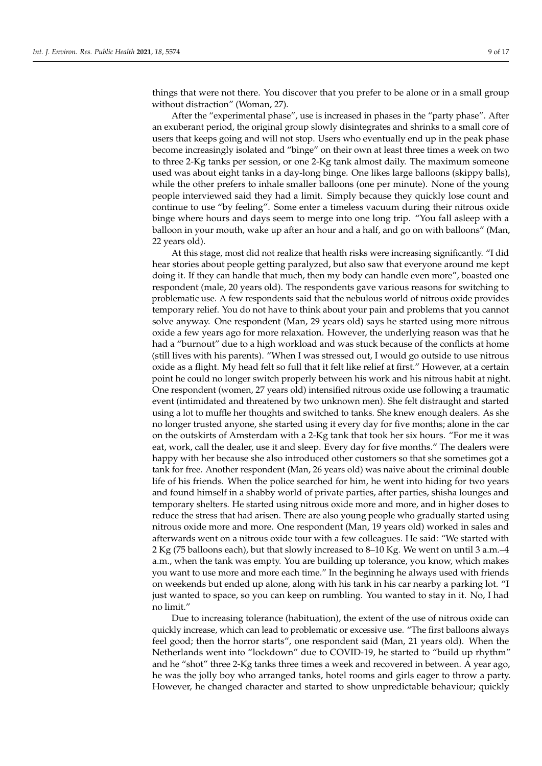things that were not there. You discover that you prefer to be alone or in a small group without distraction" (Woman, 27).

After the "experimental phase", use is increased in phases in the "party phase". After an exuberant period, the original group slowly disintegrates and shrinks to a small core of users that keeps going and will not stop. Users who eventually end up in the peak phase become increasingly isolated and "binge" on their own at least three times a week on two to three 2-Kg tanks per session, or one 2-Kg tank almost daily. The maximum someone used was about eight tanks in a day-long binge. One likes large balloons (skippy balls), while the other prefers to inhale smaller balloons (one per minute). None of the young people interviewed said they had a limit. Simply because they quickly lose count and continue to use "by feeling". Some enter a timeless vacuum during their nitrous oxide binge where hours and days seem to merge into one long trip. "You fall asleep with a balloon in your mouth, wake up after an hour and a half, and go on with balloons" (Man, 22 years old).

At this stage, most did not realize that health risks were increasing significantly. "I did hear stories about people getting paralyzed, but also saw that everyone around me kept doing it. If they can handle that much, then my body can handle even more", boasted one respondent (male, 20 years old). The respondents gave various reasons for switching to problematic use. A few respondents said that the nebulous world of nitrous oxide provides temporary relief. You do not have to think about your pain and problems that you cannot solve anyway. One respondent (Man, 29 years old) says he started using more nitrous oxide a few years ago for more relaxation. However, the underlying reason was that he had a "burnout" due to a high workload and was stuck because of the conflicts at home (still lives with his parents). "When I was stressed out, I would go outside to use nitrous oxide as a flight. My head felt so full that it felt like relief at first." However, at a certain point he could no longer switch properly between his work and his nitrous habit at night. One respondent (women, 27 years old) intensified nitrous oxide use following a traumatic event (intimidated and threatened by two unknown men). She felt distraught and started using a lot to muffle her thoughts and switched to tanks. She knew enough dealers. As she no longer trusted anyone, she started using it every day for five months; alone in the car on the outskirts of Amsterdam with a 2-Kg tank that took her six hours. "For me it was eat, work, call the dealer, use it and sleep. Every day for five months." The dealers were happy with her because she also introduced other customers so that she sometimes got a tank for free. Another respondent (Man, 26 years old) was naive about the criminal double life of his friends. When the police searched for him, he went into hiding for two years and found himself in a shabby world of private parties, after parties, shisha lounges and temporary shelters. He started using nitrous oxide more and more, and in higher doses to reduce the stress that had arisen. There are also young people who gradually started using nitrous oxide more and more. One respondent (Man, 19 years old) worked in sales and afterwards went on a nitrous oxide tour with a few colleagues. He said: "We started with 2 Kg (75 balloons each), but that slowly increased to 8–10 Kg. We went on until 3 a.m.–4 a.m., when the tank was empty. You are building up tolerance, you know, which makes you want to use more and more each time." In the beginning he always used with friends on weekends but ended up alone, along with his tank in his car nearby a parking lot. "I just wanted to space, so you can keep on rumbling. You wanted to stay in it. No, I had no limit."

Due to increasing tolerance (habituation), the extent of the use of nitrous oxide can quickly increase, which can lead to problematic or excessive use. "The first balloons always feel good; then the horror starts", one respondent said (Man, 21 years old). When the Netherlands went into "lockdown" due to COVID-19, he started to "build up rhythm" and he "shot" three 2-Kg tanks three times a week and recovered in between. A year ago, he was the jolly boy who arranged tanks, hotel rooms and girls eager to throw a party. However, he changed character and started to show unpredictable behaviour; quickly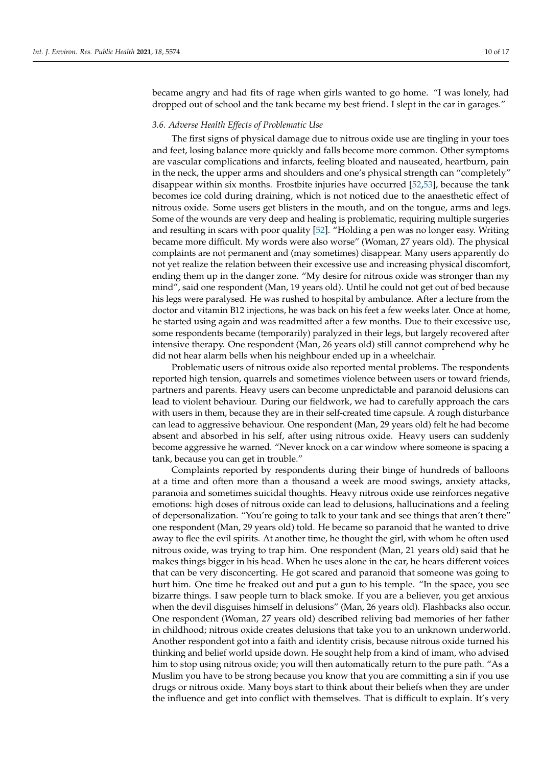became angry and had fits of rage when girls wanted to go home. "I was lonely, had dropped out of school and the tank became my best friend. I slept in the car in garages."

#### *3.6. Adverse Health Effects of Problematic Use*

The first signs of physical damage due to nitrous oxide use are tingling in your toes and feet, losing balance more quickly and falls become more common. Other symptoms are vascular complications and infarcts, feeling bloated and nauseated, heartburn, pain in the neck, the upper arms and shoulders and one's physical strength can "completely" disappear within six months. Frostbite injuries have occurred [\[52](#page-17-19)[,53\]](#page-17-20), because the tank becomes ice cold during draining, which is not noticed due to the anaesthetic effect of nitrous oxide. Some users get blisters in the mouth, and on the tongue, arms and legs. Some of the wounds are very deep and healing is problematic, requiring multiple surgeries and resulting in scars with poor quality [\[52\]](#page-17-19). "Holding a pen was no longer easy. Writing became more difficult. My words were also worse" (Woman, 27 years old). The physical complaints are not permanent and (may sometimes) disappear. Many users apparently do not yet realize the relation between their excessive use and increasing physical discomfort, ending them up in the danger zone. "My desire for nitrous oxide was stronger than my mind", said one respondent (Man, 19 years old). Until he could not get out of bed because his legs were paralysed. He was rushed to hospital by ambulance. After a lecture from the doctor and vitamin B12 injections, he was back on his feet a few weeks later. Once at home, he started using again and was readmitted after a few months. Due to their excessive use, some respondents became (temporarily) paralyzed in their legs, but largely recovered after intensive therapy. One respondent (Man, 26 years old) still cannot comprehend why he did not hear alarm bells when his neighbour ended up in a wheelchair.

Problematic users of nitrous oxide also reported mental problems. The respondents reported high tension, quarrels and sometimes violence between users or toward friends, partners and parents. Heavy users can become unpredictable and paranoid delusions can lead to violent behaviour. During our fieldwork, we had to carefully approach the cars with users in them, because they are in their self-created time capsule. A rough disturbance can lead to aggressive behaviour. One respondent (Man, 29 years old) felt he had become absent and absorbed in his self, after using nitrous oxide. Heavy users can suddenly become aggressive he warned. "Never knock on a car window where someone is spacing a tank, because you can get in trouble."

Complaints reported by respondents during their binge of hundreds of balloons at a time and often more than a thousand a week are mood swings, anxiety attacks, paranoia and sometimes suicidal thoughts. Heavy nitrous oxide use reinforces negative emotions: high doses of nitrous oxide can lead to delusions, hallucinations and a feeling of depersonalization. "You're going to talk to your tank and see things that aren't there" one respondent (Man, 29 years old) told. He became so paranoid that he wanted to drive away to flee the evil spirits. At another time, he thought the girl, with whom he often used nitrous oxide, was trying to trap him. One respondent (Man, 21 years old) said that he makes things bigger in his head. When he uses alone in the car, he hears different voices that can be very disconcerting. He got scared and paranoid that someone was going to hurt him. One time he freaked out and put a gun to his temple. "In the space, you see bizarre things. I saw people turn to black smoke. If you are a believer, you get anxious when the devil disguises himself in delusions" (Man, 26 years old). Flashbacks also occur. One respondent (Woman, 27 years old) described reliving bad memories of her father in childhood; nitrous oxide creates delusions that take you to an unknown underworld. Another respondent got into a faith and identity crisis, because nitrous oxide turned his thinking and belief world upside down. He sought help from a kind of imam, who advised him to stop using nitrous oxide; you will then automatically return to the pure path. "As a Muslim you have to be strong because you know that you are committing a sin if you use drugs or nitrous oxide. Many boys start to think about their beliefs when they are under the influence and get into conflict with themselves. That is difficult to explain. It's very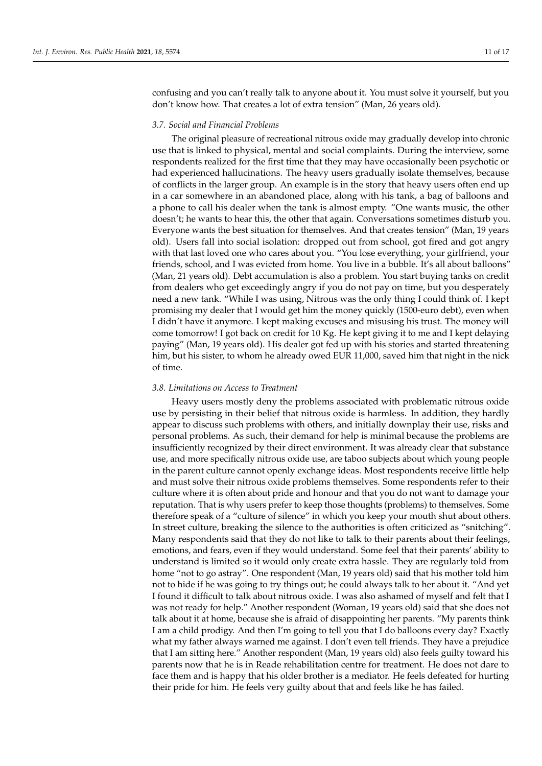confusing and you can't really talk to anyone about it. You must solve it yourself, but you don't know how. That creates a lot of extra tension" (Man, 26 years old).

#### *3.7. Social and Financial Problems*

The original pleasure of recreational nitrous oxide may gradually develop into chronic use that is linked to physical, mental and social complaints. During the interview, some respondents realized for the first time that they may have occasionally been psychotic or had experienced hallucinations. The heavy users gradually isolate themselves, because of conflicts in the larger group. An example is in the story that heavy users often end up in a car somewhere in an abandoned place, along with his tank, a bag of balloons and a phone to call his dealer when the tank is almost empty. "One wants music, the other doesn't; he wants to hear this, the other that again. Conversations sometimes disturb you. Everyone wants the best situation for themselves. And that creates tension" (Man, 19 years old). Users fall into social isolation: dropped out from school, got fired and got angry with that last loved one who cares about you. "You lose everything, your girlfriend, your friends, school, and I was evicted from home. You live in a bubble. It's all about balloons" (Man, 21 years old). Debt accumulation is also a problem. You start buying tanks on credit from dealers who get exceedingly angry if you do not pay on time, but you desperately need a new tank. "While I was using, Nitrous was the only thing I could think of. I kept promising my dealer that I would get him the money quickly (1500-euro debt), even when I didn't have it anymore. I kept making excuses and misusing his trust. The money will come tomorrow! I got back on credit for 10 Kg. He kept giving it to me and I kept delaying paying" (Man, 19 years old). His dealer got fed up with his stories and started threatening him, but his sister, to whom he already owed EUR 11,000, saved him that night in the nick of time.

#### *3.8. Limitations on Access to Treatment*

Heavy users mostly deny the problems associated with problematic nitrous oxide use by persisting in their belief that nitrous oxide is harmless. In addition, they hardly appear to discuss such problems with others, and initially downplay their use, risks and personal problems. As such, their demand for help is minimal because the problems are insufficiently recognized by their direct environment. It was already clear that substance use, and more specifically nitrous oxide use, are taboo subjects about which young people in the parent culture cannot openly exchange ideas. Most respondents receive little help and must solve their nitrous oxide problems themselves. Some respondents refer to their culture where it is often about pride and honour and that you do not want to damage your reputation. That is why users prefer to keep those thoughts (problems) to themselves. Some therefore speak of a "culture of silence" in which you keep your mouth shut about others. In street culture, breaking the silence to the authorities is often criticized as "snitching". Many respondents said that they do not like to talk to their parents about their feelings, emotions, and fears, even if they would understand. Some feel that their parents' ability to understand is limited so it would only create extra hassle. They are regularly told from home "not to go astray". One respondent (Man, 19 years old) said that his mother told him not to hide if he was going to try things out; he could always talk to her about it. "And yet I found it difficult to talk about nitrous oxide. I was also ashamed of myself and felt that I was not ready for help." Another respondent (Woman, 19 years old) said that she does not talk about it at home, because she is afraid of disappointing her parents. "My parents think I am a child prodigy. And then I'm going to tell you that I do balloons every day? Exactly what my father always warned me against. I don't even tell friends. They have a prejudice that I am sitting here." Another respondent (Man, 19 years old) also feels guilty toward his parents now that he is in Reade rehabilitation centre for treatment. He does not dare to face them and is happy that his older brother is a mediator. He feels defeated for hurting their pride for him. He feels very guilty about that and feels like he has failed.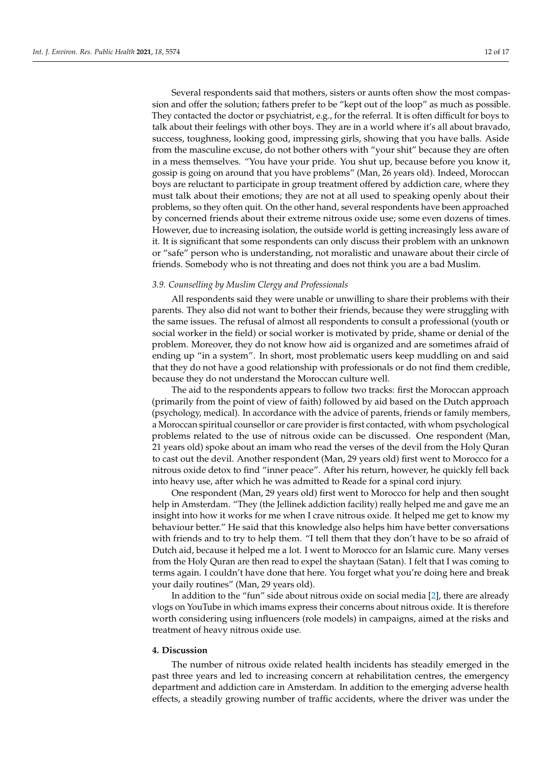Several respondents said that mothers, sisters or aunts often show the most compassion and offer the solution; fathers prefer to be "kept out of the loop" as much as possible. They contacted the doctor or psychiatrist, e.g., for the referral. It is often difficult for boys to talk about their feelings with other boys. They are in a world where it's all about bravado, success, toughness, looking good, impressing girls, showing that you have balls. Aside from the masculine excuse, do not bother others with "your shit" because they are often in a mess themselves. "You have your pride. You shut up, because before you know it, gossip is going on around that you have problems" (Man, 26 years old). Indeed, Moroccan boys are reluctant to participate in group treatment offered by addiction care, where they must talk about their emotions; they are not at all used to speaking openly about their problems, so they often quit. On the other hand, several respondents have been approached by concerned friends about their extreme nitrous oxide use; some even dozens of times. However, due to increasing isolation, the outside world is getting increasingly less aware of it. It is significant that some respondents can only discuss their problem with an unknown or "safe" person who is understanding, not moralistic and unaware about their circle of friends. Somebody who is not threating and does not think you are a bad Muslim.

### *3.9. Counselling by Muslim Clergy and Professionals*

All respondents said they were unable or unwilling to share their problems with their parents. They also did not want to bother their friends, because they were struggling with the same issues. The refusal of almost all respondents to consult a professional (youth or social worker in the field) or social worker is motivated by pride, shame or denial of the problem. Moreover, they do not know how aid is organized and are sometimes afraid of ending up "in a system". In short, most problematic users keep muddling on and said that they do not have a good relationship with professionals or do not find them credible, because they do not understand the Moroccan culture well.

The aid to the respondents appears to follow two tracks: first the Moroccan approach (primarily from the point of view of faith) followed by aid based on the Dutch approach (psychology, medical). In accordance with the advice of parents, friends or family members, a Moroccan spiritual counsellor or care provider is first contacted, with whom psychological problems related to the use of nitrous oxide can be discussed. One respondent (Man, 21 years old) spoke about an imam who read the verses of the devil from the Holy Quran to cast out the devil. Another respondent (Man, 29 years old) first went to Morocco for a nitrous oxide detox to find "inner peace". After his return, however, he quickly fell back into heavy use, after which he was admitted to Reade for a spinal cord injury.

One respondent (Man, 29 years old) first went to Morocco for help and then sought help in Amsterdam. "They (the Jellinek addiction facility) really helped me and gave me an insight into how it works for me when I crave nitrous oxide. It helped me get to know my behaviour better." He said that this knowledge also helps him have better conversations with friends and to try to help them. "I tell them that they don't have to be so afraid of Dutch aid, because it helped me a lot. I went to Morocco for an Islamic cure. Many verses from the Holy Quran are then read to expel the shaytaan (Satan). I felt that I was coming to terms again. I couldn't have done that here. You forget what you're doing here and break your daily routines" (Man, 29 years old).

In addition to the "fun" side about nitrous oxide on social media [\[2\]](#page-15-1), there are already vlogs on YouTube in which imams express their concerns about nitrous oxide. It is therefore worth considering using influencers (role models) in campaigns, aimed at the risks and treatment of heavy nitrous oxide use.

#### **4. Discussion**

The number of nitrous oxide related health incidents has steadily emerged in the past three years and led to increasing concern at rehabilitation centres, the emergency department and addiction care in Amsterdam. In addition to the emerging adverse health effects, a steadily growing number of traffic accidents, where the driver was under the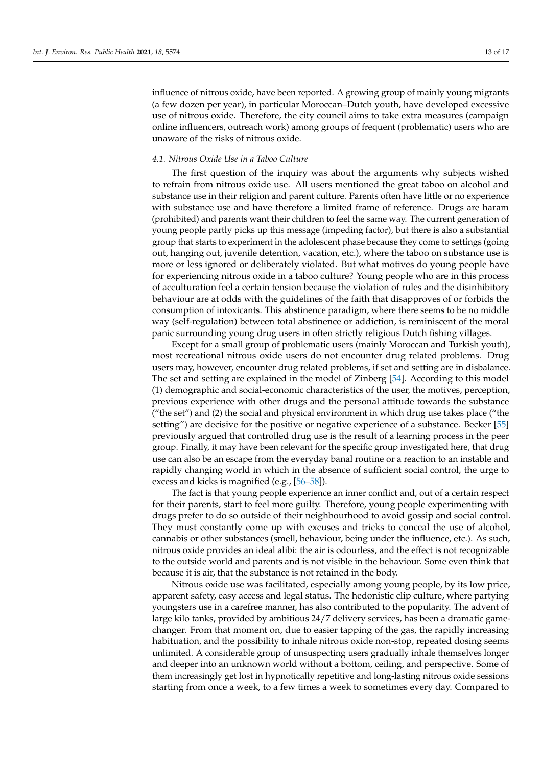influence of nitrous oxide, have been reported. A growing group of mainly young migrants (a few dozen per year), in particular Moroccan–Dutch youth, have developed excessive use of nitrous oxide. Therefore, the city council aims to take extra measures (campaign online influencers, outreach work) among groups of frequent (problematic) users who are unaware of the risks of nitrous oxide.

## *4.1. Nitrous Oxide Use in a Taboo Culture*

The first question of the inquiry was about the arguments why subjects wished to refrain from nitrous oxide use. All users mentioned the great taboo on alcohol and substance use in their religion and parent culture. Parents often have little or no experience with substance use and have therefore a limited frame of reference. Drugs are haram (prohibited) and parents want their children to feel the same way. The current generation of young people partly picks up this message (impeding factor), but there is also a substantial group that starts to experiment in the adolescent phase because they come to settings (going out, hanging out, juvenile detention, vacation, etc.), where the taboo on substance use is more or less ignored or deliberately violated. But what motives do young people have for experiencing nitrous oxide in a taboo culture? Young people who are in this process of acculturation feel a certain tension because the violation of rules and the disinhibitory behaviour are at odds with the guidelines of the faith that disapproves of or forbids the consumption of intoxicants. This abstinence paradigm, where there seems to be no middle way (self-regulation) between total abstinence or addiction, is reminiscent of the moral panic surrounding young drug users in often strictly religious Dutch fishing villages.

Except for a small group of problematic users (mainly Moroccan and Turkish youth), most recreational nitrous oxide users do not encounter drug related problems. Drug users may, however, encounter drug related problems, if set and setting are in disbalance. The set and setting are explained in the model of Zinberg [\[54\]](#page-17-21). According to this model (1) demographic and social-economic characteristics of the user, the motives, perception, previous experience with other drugs and the personal attitude towards the substance ("the set") and (2) the social and physical environment in which drug use takes place ("the setting") are decisive for the positive or negative experience of a substance. Becker [\[55\]](#page-17-22) previously argued that controlled drug use is the result of a learning process in the peer group. Finally, it may have been relevant for the specific group investigated here, that drug use can also be an escape from the everyday banal routine or a reaction to an instable and rapidly changing world in which in the absence of sufficient social control, the urge to excess and kicks is magnified (e.g., [\[56–](#page-17-23)[58\]](#page-17-24)).

The fact is that young people experience an inner conflict and, out of a certain respect for their parents, start to feel more guilty. Therefore, young people experimenting with drugs prefer to do so outside of their neighbourhood to avoid gossip and social control. They must constantly come up with excuses and tricks to conceal the use of alcohol, cannabis or other substances (smell, behaviour, being under the influence, etc.). As such, nitrous oxide provides an ideal alibi: the air is odourless, and the effect is not recognizable to the outside world and parents and is not visible in the behaviour. Some even think that because it is air, that the substance is not retained in the body.

Nitrous oxide use was facilitated, especially among young people, by its low price, apparent safety, easy access and legal status. The hedonistic clip culture, where partying youngsters use in a carefree manner, has also contributed to the popularity. The advent of large kilo tanks, provided by ambitious 24/7 delivery services, has been a dramatic gamechanger. From that moment on, due to easier tapping of the gas, the rapidly increasing habituation, and the possibility to inhale nitrous oxide non-stop, repeated dosing seems unlimited. A considerable group of unsuspecting users gradually inhale themselves longer and deeper into an unknown world without a bottom, ceiling, and perspective. Some of them increasingly get lost in hypnotically repetitive and long-lasting nitrous oxide sessions starting from once a week, to a few times a week to sometimes every day. Compared to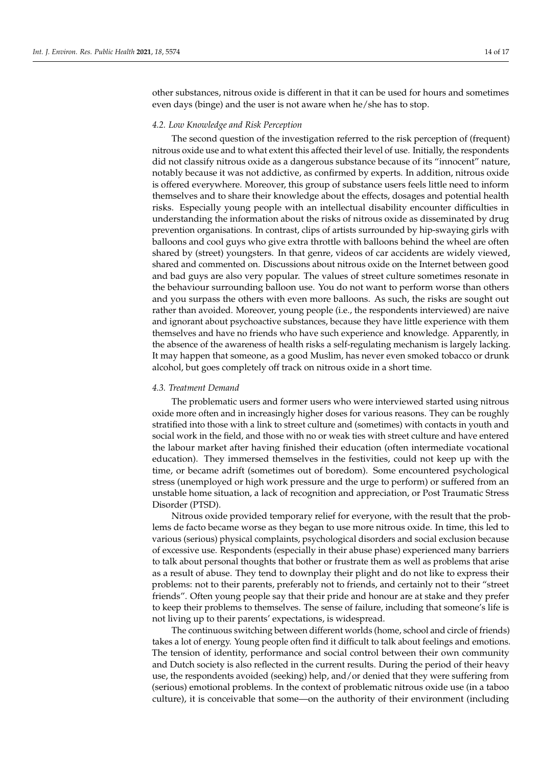other substances, nitrous oxide is different in that it can be used for hours and sometimes even days (binge) and the user is not aware when he/she has to stop.

#### *4.2. Low Knowledge and Risk Perception*

The second question of the investigation referred to the risk perception of (frequent) nitrous oxide use and to what extent this affected their level of use. Initially, the respondents did not classify nitrous oxide as a dangerous substance because of its "innocent" nature, notably because it was not addictive, as confirmed by experts. In addition, nitrous oxide is offered everywhere. Moreover, this group of substance users feels little need to inform themselves and to share their knowledge about the effects, dosages and potential health risks. Especially young people with an intellectual disability encounter difficulties in understanding the information about the risks of nitrous oxide as disseminated by drug prevention organisations. In contrast, clips of artists surrounded by hip-swaying girls with balloons and cool guys who give extra throttle with balloons behind the wheel are often shared by (street) youngsters. In that genre, videos of car accidents are widely viewed, shared and commented on. Discussions about nitrous oxide on the Internet between good and bad guys are also very popular. The values of street culture sometimes resonate in the behaviour surrounding balloon use. You do not want to perform worse than others and you surpass the others with even more balloons. As such, the risks are sought out rather than avoided. Moreover, young people (i.e., the respondents interviewed) are naive and ignorant about psychoactive substances, because they have little experience with them themselves and have no friends who have such experience and knowledge. Apparently, in the absence of the awareness of health risks a self-regulating mechanism is largely lacking. It may happen that someone, as a good Muslim, has never even smoked tobacco or drunk alcohol, but goes completely off track on nitrous oxide in a short time.

#### *4.3. Treatment Demand*

The problematic users and former users who were interviewed started using nitrous oxide more often and in increasingly higher doses for various reasons. They can be roughly stratified into those with a link to street culture and (sometimes) with contacts in youth and social work in the field, and those with no or weak ties with street culture and have entered the labour market after having finished their education (often intermediate vocational education). They immersed themselves in the festivities, could not keep up with the time, or became adrift (sometimes out of boredom). Some encountered psychological stress (unemployed or high work pressure and the urge to perform) or suffered from an unstable home situation, a lack of recognition and appreciation, or Post Traumatic Stress Disorder (PTSD).

Nitrous oxide provided temporary relief for everyone, with the result that the problems de facto became worse as they began to use more nitrous oxide. In time, this led to various (serious) physical complaints, psychological disorders and social exclusion because of excessive use. Respondents (especially in their abuse phase) experienced many barriers to talk about personal thoughts that bother or frustrate them as well as problems that arise as a result of abuse. They tend to downplay their plight and do not like to express their problems: not to their parents, preferably not to friends, and certainly not to their "street friends". Often young people say that their pride and honour are at stake and they prefer to keep their problems to themselves. The sense of failure, including that someone's life is not living up to their parents' expectations, is widespread.

The continuous switching between different worlds (home, school and circle of friends) takes a lot of energy. Young people often find it difficult to talk about feelings and emotions. The tension of identity, performance and social control between their own community and Dutch society is also reflected in the current results. During the period of their heavy use, the respondents avoided (seeking) help, and/or denied that they were suffering from (serious) emotional problems. In the context of problematic nitrous oxide use (in a taboo culture), it is conceivable that some—on the authority of their environment (including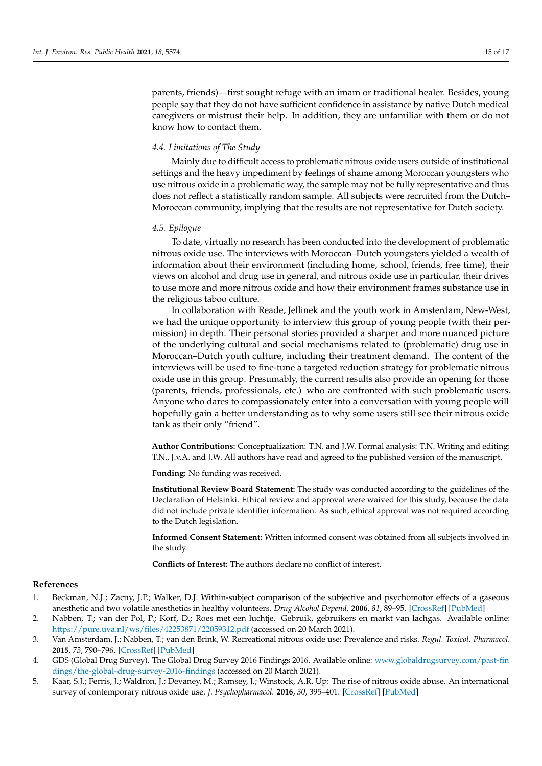parents, friends)—first sought refuge with an imam or traditional healer. Besides, young people say that they do not have sufficient confidence in assistance by native Dutch medical caregivers or mistrust their help. In addition, they are unfamiliar with them or do not know how to contact them.

#### *4.4. Limitations of The Study*

Mainly due to difficult access to problematic nitrous oxide users outside of institutional settings and the heavy impediment by feelings of shame among Moroccan youngsters who use nitrous oxide in a problematic way, the sample may not be fully representative and thus does not reflect a statistically random sample. All subjects were recruited from the Dutch– Moroccan community, implying that the results are not representative for Dutch society.

#### *4.5. Epilogue*

To date, virtually no research has been conducted into the development of problematic nitrous oxide use. The interviews with Moroccan–Dutch youngsters yielded a wealth of information about their environment (including home, school, friends, free time), their views on alcohol and drug use in general, and nitrous oxide use in particular, their drives to use more and more nitrous oxide and how their environment frames substance use in the religious taboo culture.

In collaboration with Reade, Jellinek and the youth work in Amsterdam, New-West, we had the unique opportunity to interview this group of young people (with their permission) in depth. Their personal stories provided a sharper and more nuanced picture of the underlying cultural and social mechanisms related to (problematic) drug use in Moroccan–Dutch youth culture, including their treatment demand. The content of the interviews will be used to fine-tune a targeted reduction strategy for problematic nitrous oxide use in this group. Presumably, the current results also provide an opening for those (parents, friends, professionals, etc.) who are confronted with such problematic users. Anyone who dares to compassionately enter into a conversation with young people will hopefully gain a better understanding as to why some users still see their nitrous oxide tank as their only "friend".

**Author Contributions:** Conceptualization: T.N. and J.W. Formal analysis: T.N. Writing and editing: T.N., J.v.A. and J.W. All authors have read and agreed to the published version of the manuscript.

**Funding:** No funding was received.

**Institutional Review Board Statement:** The study was conducted according to the guidelines of the Declaration of Helsinki. Ethical review and approval were waived for this study, because the data did not include private identifier information. As such, ethical approval was not required according to the Dutch legislation.

**Informed Consent Statement:** Written informed consent was obtained from all subjects involved in the study.

**Conflicts of Interest:** The authors declare no conflict of interest.

#### **References**

- <span id="page-15-0"></span>1. Beckman, N.J.; Zacny, J.P.; Walker, D.J. Within-subject comparison of the subjective and psychomotor effects of a gaseous anesthetic and two volatile anesthetics in healthy volunteers. *Drug Alcohol Depend.* **2006**, *81*, 89–95. [\[CrossRef\]](http://doi.org/10.1016/j.drugalcdep.2005.06.002) [\[PubMed\]](http://www.ncbi.nlm.nih.gov/pubmed/16024183)
- <span id="page-15-1"></span>2. Nabben, T.; van der Pol, P.; Korf, D.; Roes met een luchtje. Gebruik, gebruikers en markt van lachgas. Available online: <https://pure.uva.nl/ws/files/42253871/22059312.pdf> (accessed on 20 March 2021).
- <span id="page-15-2"></span>3. Van Amsterdam, J.; Nabben, T.; van den Brink, W. Recreational nitrous oxide use: Prevalence and risks. *Regul. Toxicol. Pharmacol.* **2015**, *73*, 790–796. [\[CrossRef\]](http://doi.org/10.1016/j.yrtph.2015.10.017) [\[PubMed\]](http://www.ncbi.nlm.nih.gov/pubmed/26496821)
- <span id="page-15-3"></span>4. GDS (Global Drug Survey). The Global Drug Survey 2016 Findings 2016. Available online: [www.globaldrugsurvey.com/past-fin](www.globaldrugsurvey.com/past-findings/the-global-drug-survey-2016-findings) [dings/the-global-drug-survey-2016-findings](www.globaldrugsurvey.com/past-findings/the-global-drug-survey-2016-findings) (accessed on 20 March 2021).
- <span id="page-15-4"></span>5. Kaar, S.J.; Ferris, J.; Waldron, J.; Devaney, M.; Ramsey, J.; Winstock, A.R. Up: The rise of nitrous oxide abuse. An international survey of contemporary nitrous oxide use. *J. Psychopharmacol.* **2016**, *30*, 395–401. [\[CrossRef\]](http://doi.org/10.1177/0269881116632375) [\[PubMed\]](http://www.ncbi.nlm.nih.gov/pubmed/26912510)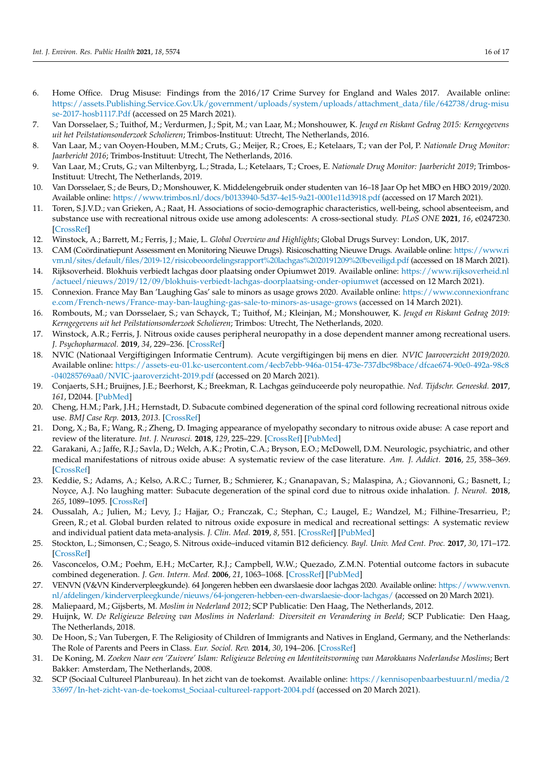- <span id="page-16-0"></span>6. Home Office. Drug Misuse: Findings from the 2016/17 Crime Survey for England and Wales 2017. Available online: [https://assets.Publishing.Service.Gov.Uk/government/uploads/system/uploads/attachment\\_data/file/642738/drug-misu](https://assets.Publishing.Service.Gov.Uk/government/uploads/system/uploads/attachment_data/file/642738/drug-misuse-2017-hosb1117.Pdf) [se-2017-hosb1117.Pdf](https://assets.Publishing.Service.Gov.Uk/government/uploads/system/uploads/attachment_data/file/642738/drug-misuse-2017-hosb1117.Pdf) (accessed on 25 March 2021).
- <span id="page-16-1"></span>7. Van Dorsselaer, S.; Tuithof, M.; Verdurmen, J.; Spit, M.; van Laar, M.; Monshouwer, K. *Jeugd en Riskant Gedrag 2015: Kerngegevens uit het Peilstationsonderzoek Scholieren*; Trimbos-Instituut: Utrecht, The Netherlands, 2016.
- <span id="page-16-2"></span>8. Van Laar, M.; van Ooyen-Houben, M.M.; Cruts, G.; Meijer, R.; Croes, E.; Ketelaars, T.; van der Pol, P. *Nationale Drug Monitor: Jaarbericht 2016*; Trimbos-Instituut: Utrecht, The Netherlands, 2016.
- <span id="page-16-3"></span>9. Van Laar, M.; Cruts, G.; van Miltenbyrg, L.; Strada, L.; Ketelaars, T.; Croes, E. *Nationale Drug Monitor: Jaarbericht 2019*; Trimbos-Instituut: Utrecht, The Netherlands, 2019.
- <span id="page-16-4"></span>10. Van Dorsselaer, S.; de Beurs, D.; Monshouwer, K. Middelengebruik onder studenten van 16–18 Jaar Op het MBO en HBO 2019/2020. Available online: <https://www.trimbos.nl/docs/b0133940-5d37-4e15-9a21-0001e11d3918.pdf> (accessed on 17 March 2021).
- <span id="page-16-5"></span>11. Toren, S.J.V.D.; van Grieken, A.; Raat, H. Associations of socio-demographic characteristics, well-being, school absenteeism, and substance use with recreational nitrous oxide use among adolescents: A cross-sectional study. *PLoS ONE* **2021**, *16*, e0247230. [\[CrossRef\]](http://doi.org/10.1371/journal.pone.0247230)
- <span id="page-16-6"></span>12. Winstock, A.; Barrett, M.; Ferris, J.; Maie, L. *Global Overview and Highlights*; Global Drugs Survey: London, UK, 2017.
- <span id="page-16-7"></span>13. CAM (Coördinatiepunt Assessment en Monitoring Nieuwe Drugs). Risicoschatting Nieuwe Drugs. Available online: [https://www.ri](https://www.rivm.nl/sites/default/files/2019-12/risicobeoordelingsrapport%20lachgas%2020191209%20beveiligd.pdf) [vm.nl/sites/default/files/2019-12/risicobeoordelingsrapport%20lachgas%2020191209%20beveiligd.pdf](https://www.rivm.nl/sites/default/files/2019-12/risicobeoordelingsrapport%20lachgas%2020191209%20beveiligd.pdf) (accessed on 18 March 2021).
- <span id="page-16-8"></span>14. Rijksoverheid. Blokhuis verbiedt lachgas door plaatsing onder Opiumwet 2019. Available online: [https://www.rijksoverheid.nl](https://www.rijksoverheid.nl/actueel/nieuws/2019/12/09/blokhuis-verbiedt-lachgas-doorplaatsing-onder-opiumwet) [/actueel/nieuws/2019/12/09/blokhuis-verbiedt-lachgas-doorplaatsing-onder-opiumwet](https://www.rijksoverheid.nl/actueel/nieuws/2019/12/09/blokhuis-verbiedt-lachgas-doorplaatsing-onder-opiumwet) (accessed on 12 March 2021).
- <span id="page-16-9"></span>15. Connexion. France May Ban 'Laughing Gas' sale to minors as usage grows 2020. Available online: [https://www.connexionfranc](https://www.connexionfrance.com/French-news/France-may-ban-laughing-gas-sale-to-minors-as-usage-grows) [e.com/French-news/France-may-ban-laughing-gas-sale-to-minors-as-usage-grows](https://www.connexionfrance.com/French-news/France-may-ban-laughing-gas-sale-to-minors-as-usage-grows) (accessed on 14 March 2021).
- <span id="page-16-10"></span>16. Rombouts, M.; van Dorsselaer, S.; van Schayck, T.; Tuithof, M.; Kleinjan, M.; Monshouwer, K. *Jeugd en Riskant Gedrag 2019: Kerngegevens uit het Peilstationsonderzoek Scholieren*; Trimbos: Utrecht, The Netherlands, 2020.
- <span id="page-16-11"></span>17. Winstock, A.R.; Ferris, J. Nitrous oxide causes peripheral neuropathy in a dose dependent manner among recreational users. *J. Psychopharmacol.* **2019**, *34*, 229–236. [\[CrossRef\]](http://doi.org/10.1177/0269881119882532)
- <span id="page-16-12"></span>18. NVIC (Nationaal Vergiftigingen Informatie Centrum). Acute vergiftigingen bij mens en dier. *NVIC Jaaroverzicht 2019/2020.* Available online: [https://assets-eu-01.kc-usercontent.com/4ecb7ebb-946a-0154-473e-737dbc98bace/dfcae674-90e0-492a-98c8](https://assets-eu-01.kc-usercontent.com/4ecb7ebb-946a-0154-473e-737dbc98bace/dfcae674-90e0-492a-98c8-040285769aa0/NVIC-jaaroverzicht-2019.pdf) [-040285769aa0/NVIC-jaaroverzicht-2019.pdf](https://assets-eu-01.kc-usercontent.com/4ecb7ebb-946a-0154-473e-737dbc98bace/dfcae674-90e0-492a-98c8-040285769aa0/NVIC-jaaroverzicht-2019.pdf) (accessed on 20 March 2021).
- <span id="page-16-13"></span>19. Conjaerts, S.H.; Bruijnes, J.E.; Beerhorst, K.; Breekman, R. Lachgas geïnduceerde poly neuropathie. *Ned. Tijdschr. Geneeskd.* **2017**, *161*, D2044. [\[PubMed\]](http://www.ncbi.nlm.nih.gov/pubmed/29192578)
- <span id="page-16-14"></span>20. Cheng, H.M.; Park, J.H.; Hernstadt, D. Subacute combined degeneration of the spinal cord following recreational nitrous oxide use. *BMJ Case Rep.* **2013**, *2013*. [\[CrossRef\]](http://doi.org/10.1136/bcr-2012-008509)
- 21. Dong, X.; Ba, F.; Wang, R.; Zheng, D. Imaging appearance of myelopathy secondary to nitrous oxide abuse: A case report and review of the literature. *Int. J. Neurosci.* **2018**, *129*, 225–229. [\[CrossRef\]](http://doi.org/10.1080/00207454.2018.1526801) [\[PubMed\]](http://www.ncbi.nlm.nih.gov/pubmed/30234413)
- 22. Garakani, A.; Jaffe, R.J.; Savla, D.; Welch, A.K.; Protin, C.A.; Bryson, E.O.; McDowell, D.M. Neurologic, psychiatric, and other medical manifestations of nitrous oxide abuse: A systematic review of the case literature. *Am. J. Addict.* **2016**, *25*, 358–369. [\[CrossRef\]](http://doi.org/10.1111/ajad.12372)
- 23. Keddie, S.; Adams, A.; Kelso, A.R.C.; Turner, B.; Schmierer, K.; Gnanapavan, S.; Malaspina, A.; Giovannoni, G.; Basnett, I.; Noyce, A.J. No laughing matter: Subacute degeneration of the spinal cord due to nitrous oxide inhalation. *J. Neurol.* **2018**, *265*, 1089–1095. [\[CrossRef\]](http://doi.org/10.1007/s00415-018-8801-3)
- <span id="page-16-15"></span>24. Oussalah, A.; Julien, M.; Levy, J.; Hajjar, O.; Franczak, C.; Stephan, C.; Laugel, E.; Wandzel, M.; Filhine-Tresarrieu, P.; Green, R.; et al. Global burden related to nitrous oxide exposure in medical and recreational settings: A systematic review and individual patient data meta-analysis. *J. Clin. Med.* **2019**, *8*, 551. [\[CrossRef\]](http://doi.org/10.3390/jcm8040551) [\[PubMed\]](http://www.ncbi.nlm.nih.gov/pubmed/31018613)
- <span id="page-16-16"></span>25. Stockton, L.; Simonsen, C.; Seago, S. Nitrous oxide–induced vitamin B12 deficiency. *Bayl. Univ. Med Cent. Proc.* **2017**, *30*, 171–172. [\[CrossRef\]](http://doi.org/10.1080/08998280.2017.11929571)
- <span id="page-16-17"></span>26. Vasconcelos, O.M.; Poehm, E.H.; McCarter, R.J.; Campbell, W.W.; Quezado, Z.M.N. Potential outcome factors in subacute combined degeneration. *J. Gen. Intern. Med.* **2006**, *21*, 1063–1068. [\[CrossRef\]](http://doi.org/10.1111/j.1525-1497.2006.00525.x) [\[PubMed\]](http://www.ncbi.nlm.nih.gov/pubmed/16970556)
- <span id="page-16-18"></span>27. VENVN (V&VN Kinderverpleegkunde). 64 Jongeren hebben een dwarslaesie door lachgas 2020. Available online: [https://www.venvn.](https://www.venvn.nl/afdelingen/kinderverpleegkunde/nieuws/64-jongeren-hebben-een-dwarslaesie-door-lachgas/) [nl/afdelingen/kinderverpleegkunde/nieuws/64-jongeren-hebben-een-dwarslaesie-door-lachgas/](https://www.venvn.nl/afdelingen/kinderverpleegkunde/nieuws/64-jongeren-hebben-een-dwarslaesie-door-lachgas/) (accessed on 20 March 2021).
- <span id="page-16-19"></span>28. Maliepaard, M.; Gijsberts, M. *Moslim in Nederland 2012*; SCP Publicatie: Den Haag, The Netherlands, 2012.
- <span id="page-16-20"></span>29. Huijnk, W. *De Religieuze Beleving van Moslims in Nederland: Diversiteit en Verandering in Beeld*; SCP Publicatie: Den Haag, The Netherlands, 2018.
- <span id="page-16-21"></span>30. De Hoon, S.; Van Tubergen, F. The Religiosity of Children of Immigrants and Natives in England, Germany, and the Netherlands: The Role of Parents and Peers in Class. *Eur. Sociol. Rev.* **2014**, *30*, 194–206. [\[CrossRef\]](http://doi.org/10.1093/esr/jcu038)
- 31. De Koning, M. *Zoeken Naar een 'Zuivere' Islam: Religieuze Beleving en Identiteitsvorming van Marokkaans Nederlandse Moslims*; Bert Bakker: Amsterdam, The Netherlands, 2008.
- <span id="page-16-22"></span>32. SCP (Sociaal Cultureel Planbureau). In het zicht van de toekomst. Available online: [https://kennisopenbaarbestuur.nl/media/2](https://kennisopenbaarbestuur.nl/media/233697/In-het-zicht-van-de-toekomst_Sociaal-cultureel-rapport-2004.pdf) [33697/In-het-zicht-van-de-toekomst\\_Sociaal-cultureel-rapport-2004.pdf](https://kennisopenbaarbestuur.nl/media/233697/In-het-zicht-van-de-toekomst_Sociaal-cultureel-rapport-2004.pdf) (accessed on 20 March 2021).